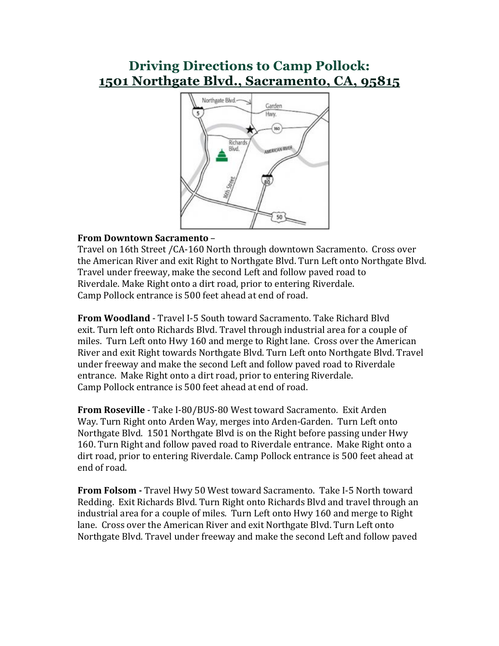## **Driving Directions to Camp Pollock: 1501 Northgate Blvd., Sacramento, CA, 95815**



#### **From Downtown Sacramento** –

Travel on 16th Street / CA-160 North through downtown Sacramento. Cross over the American River and exit Right to Northgate Blvd. Turn Left onto Northgate Blvd. Travel under freeway, make the second Left and follow paved road to Riverdale. Make Right onto a dirt road, prior to entering Riverdale. Camp Pollock entrance is 500 feet ahead at end of road.

**From Woodland** - Travel I-5 South toward Sacramento. Take Richard Blvd exit. Turn left onto Richards Blvd. Travel through industrial area for a couple of miles. Turn Left onto Hwy 160 and merge to Right lane. Cross over the American River and exit Right towards Northgate Blvd. Turn Left onto Northgate Blvd. Travel under freeway and make the second Left and follow payed road to Riverdale entrance. Make Right onto a dirt road, prior to entering Riverdale. Camp Pollock entrance is 500 feet ahead at end of road.

**From Roseville** - Take I-80/BUS-80 West toward Sacramento. Exit Arden Way. Turn Right onto Arden Way, merges into Arden-Garden. Turn Left onto Northgate Blyd. 1501 Northgate Blyd is on the Right before passing under Hwy 160. Turn Right and follow paved road to Riverdale entrance. Make Right onto a dirt road, prior to entering Riverdale. Camp Pollock entrance is 500 feet ahead at end of road.

**From Folsom -** Travel Hwy 50 West toward Sacramento. Take I-5 North toward Redding. Exit Richards Blvd. Turn Right onto Richards Blvd and travel through an industrial area for a couple of miles. Turn Left onto Hwy 160 and merge to Right lane. Cross over the American River and exit Northgate Blvd. Turn Left onto Northgate Blyd. Travel under freeway and make the second Left and follow payed